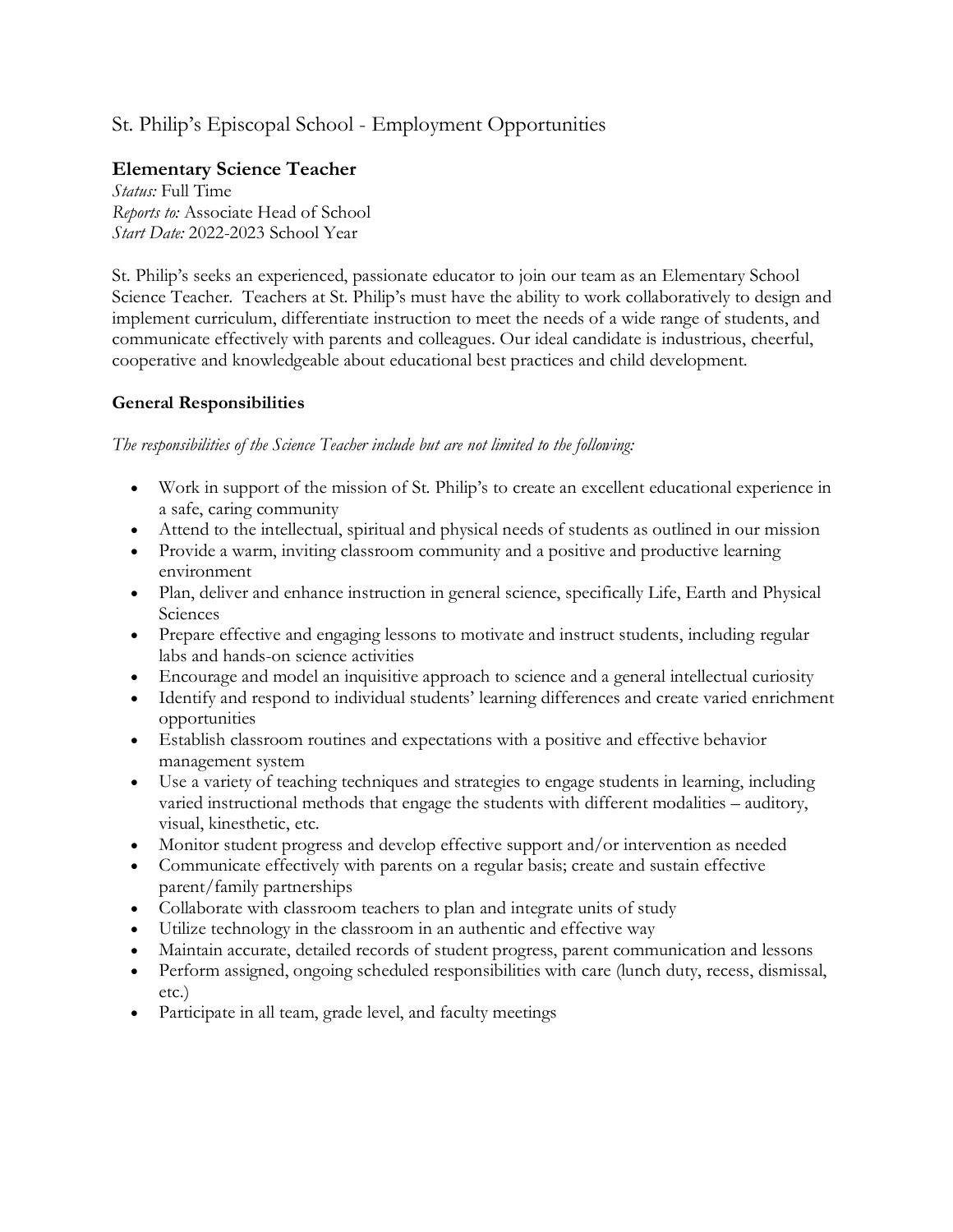## St. Philip's Episcopal School - Employment Opportunities

## **Elementary Science Teacher**

*Status:* Full Time *Reports to:* Associate Head of School *Start Date:* 2022-2023 School Year

St. Philip's seeks an experienced, passionate educator to join our team as an Elementary School Science Teacher. Teachers at St. Philip's must have the ability to work collaboratively to design and implement curriculum, differentiate instruction to meet the needs of a wide range of students, and communicate effectively with parents and colleagues. Our ideal candidate is industrious, cheerful, cooperative and knowledgeable about educational best practices and child development.

## **General Responsibilities**

*The responsibilities of the Science Teacher include but are not limited to the following:*

- Work in support of the mission of St. Philip's to create an excellent educational experience in a safe, caring community
- Attend to the intellectual, spiritual and physical needs of students as outlined in our mission
- Provide a warm, inviting classroom community and a positive and productive learning environment
- Plan, deliver and enhance instruction in general science, specifically Life, Earth and Physical Sciences
- Prepare effective and engaging lessons to motivate and instruct students, including regular labs and hands-on science activities
- Encourage and model an inquisitive approach to science and a general intellectual curiosity
- Identify and respond to individual students' learning differences and create varied enrichment opportunities
- Establish classroom routines and expectations with a positive and effective behavior management system
- Use a variety of teaching techniques and strategies to engage students in learning, including varied instructional methods that engage the students with different modalities – auditory, visual, kinesthetic, etc.
- Monitor student progress and develop effective support and/or intervention as needed
- Communicate effectively with parents on a regular basis; create and sustain effective parent/family partnerships
- Collaborate with classroom teachers to plan and integrate units of study
- Utilize technology in the classroom in an authentic and effective way
- Maintain accurate, detailed records of student progress, parent communication and lessons
- Perform assigned, ongoing scheduled responsibilities with care (lunch duty, recess, dismissal, etc.)
- Participate in all team, grade level, and faculty meetings